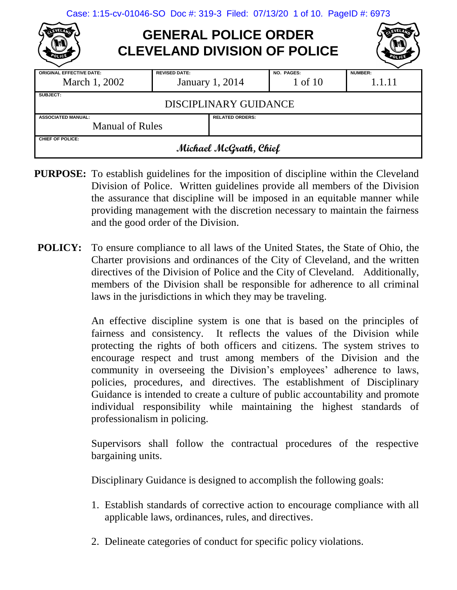| Case: 1:15-cv-01046-SO Doc #: 319-3 Filed: 07/13/20 1 of 10. PageID #: 6973 |  |  |  |  |  |
|-----------------------------------------------------------------------------|--|--|--|--|--|
|-----------------------------------------------------------------------------|--|--|--|--|--|

# **GENERAL POLICE ORDER CLEVELAND DIVISION OF POLICE**

| <b>ORIGINAL EFFECTIVE DATE:</b>                     | <b>REVISED DATE:</b>  |                        | <b>NO. PAGES:</b> | <b>NUMBER:</b> |  |  |
|-----------------------------------------------------|-----------------------|------------------------|-------------------|----------------|--|--|
| March 1, 2002                                       |                       | <b>January 1, 2014</b> | 1 of 10           | 1.1.11         |  |  |
| SUBJECT:                                            |                       |                        |                   |                |  |  |
|                                                     | DISCIPLINARY GUIDANCE |                        |                   |                |  |  |
| <b>RELATED ORDERS:</b><br><b>ASSOCIATED MANUAL:</b> |                       |                        |                   |                |  |  |
| <b>Manual of Rules</b>                              |                       |                        |                   |                |  |  |
| CHIEF OF POLICE:                                    |                       |                        |                   |                |  |  |
| Michael McGrath, Chief                              |                       |                        |                   |                |  |  |

- **PURPOSE:** To establish guidelines for the imposition of discipline within the Cleveland Division of Police. Written guidelines provide all members of the Division the assurance that discipline will be imposed in an equitable manner while providing management with the discretion necessary to maintain the fairness and the good order of the Division.
- **POLICY:** To ensure compliance to all laws of the United States, the State of Ohio, the Charter provisions and ordinances of the City of Cleveland, and the written directives of the Division of Police and the City of Cleveland. Additionally, members of the Division shall be responsible for adherence to all criminal laws in the jurisdictions in which they may be traveling.

An effective discipline system is one that is based on the principles of fairness and consistency. It reflects the values of the Division while protecting the rights of both officers and citizens. The system strives to encourage respect and trust among members of the Division and the community in overseeing the Division's employees' adherence to laws, policies, procedures, and directives. The establishment of Disciplinary Guidance is intended to create a culture of public accountability and promote individual responsibility while maintaining the highest standards of professionalism in policing.

Supervisors shall follow the contractual procedures of the respective bargaining units.

Disciplinary Guidance is designed to accomplish the following goals:

- 1. Establish standards of corrective action to encourage compliance with all applicable laws, ordinances, rules, and directives.
- 2. Delineate categories of conduct for specific policy violations.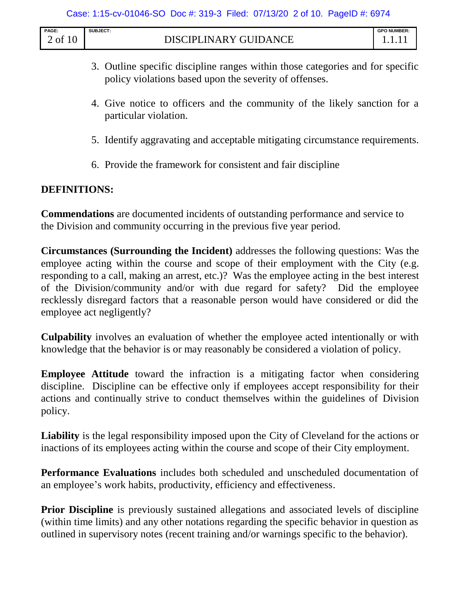| <b>PAGE</b> | <b>SUBJECT</b>               | <b>GPO NUMBER:</b> |
|-------------|------------------------------|--------------------|
| 10<br>of    | <b>DISCIPLINARY GUIDANCE</b> | .                  |

- 3. Outline specific discipline ranges within those categories and for specific policy violations based upon the severity of offenses.
- 4. Give notice to officers and the community of the likely sanction for a particular violation.
- 5. Identify aggravating and acceptable mitigating circumstance requirements.
- 6. Provide the framework for consistent and fair discipline

## **DEFINITIONS:**

**Commendations** are documented incidents of outstanding performance and service to the Division and community occurring in the previous five year period.

**Circumstances (Surrounding the Incident)** addresses the following questions: Was the employee acting within the course and scope of their employment with the City (e.g. responding to a call, making an arrest, etc.)? Was the employee acting in the best interest of the Division/community and/or with due regard for safety? Did the employee recklessly disregard factors that a reasonable person would have considered or did the employee act negligently?

**Culpability** involves an evaluation of whether the employee acted intentionally or with knowledge that the behavior is or may reasonably be considered a violation of policy.

**Employee Attitude** toward the infraction is a mitigating factor when considering discipline. Discipline can be effective only if employees accept responsibility for their actions and continually strive to conduct themselves within the guidelines of Division policy.

**Liability** is the legal responsibility imposed upon the City of Cleveland for the actions or inactions of its employees acting within the course and scope of their City employment.

**Performance Evaluations** includes both scheduled and unscheduled documentation of an employee's work habits, productivity, efficiency and effectiveness.

**Prior Discipline** is previously sustained allegations and associated levels of discipline (within time limits) and any other notations regarding the specific behavior in question as outlined in supervisory notes (recent training and/or warnings specific to the behavior).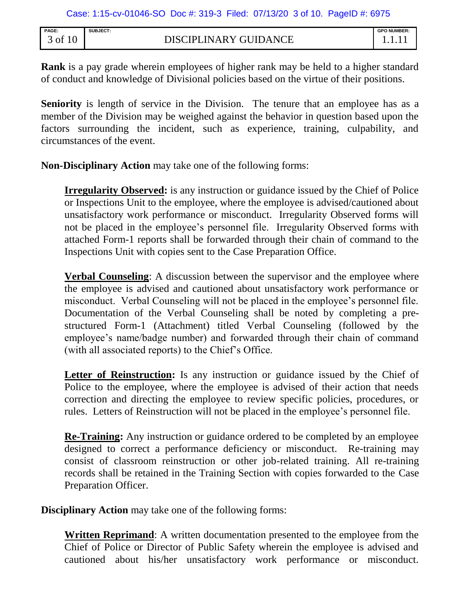| PAGE:   | <b>SUBJECT:</b>       | <b>GPO NUMBER:</b> |
|---------|-----------------------|--------------------|
| of 1r ر | DISCIPLINARY GUIDANCE |                    |

**Rank** is a pay grade wherein employees of higher rank may be held to a higher standard of conduct and knowledge of Divisional policies based on the virtue of their positions.

**Seniority** is length of service in the Division. The tenure that an employee has as a member of the Division may be weighed against the behavior in question based upon the factors surrounding the incident, such as experience, training, culpability, and circumstances of the event.

**Non-Disciplinary Action** may take one of the following forms:

**Irregularity Observed:** is any instruction or guidance issued by the Chief of Police or Inspections Unit to the employee, where the employee is advised/cautioned about unsatisfactory work performance or misconduct. Irregularity Observed forms will not be placed in the employee's personnel file. Irregularity Observed forms with attached Form-1 reports shall be forwarded through their chain of command to the Inspections Unit with copies sent to the Case Preparation Office.

**Verbal Counseling**: A discussion between the supervisor and the employee where the employee is advised and cautioned about unsatisfactory work performance or misconduct. Verbal Counseling will not be placed in the employee's personnel file. Documentation of the Verbal Counseling shall be noted by completing a prestructured Form-1 (Attachment) titled Verbal Counseling (followed by the employee's name/badge number) and forwarded through their chain of command (with all associated reports) to the Chief's Office.

Letter of Reinstruction: Is any instruction or guidance issued by the Chief of Police to the employee, where the employee is advised of their action that needs correction and directing the employee to review specific policies, procedures, or rules. Letters of Reinstruction will not be placed in the employee's personnel file.

**Re-Training:** Any instruction or guidance ordered to be completed by an employee designed to correct a performance deficiency or misconduct. Re-training may consist of classroom reinstruction or other job-related training. All re-training records shall be retained in the Training Section with copies forwarded to the Case Preparation Officer.

**Disciplinary Action** may take one of the following forms:

**Written Reprimand**: A written documentation presented to the employee from the Chief of Police or Director of Public Safety wherein the employee is advised and cautioned about his/her unsatisfactory work performance or misconduct.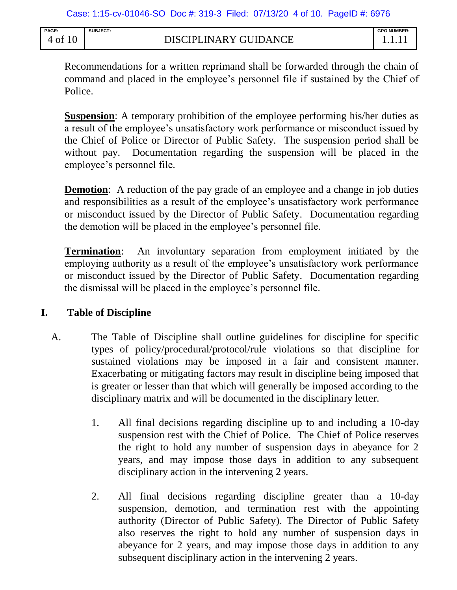| <b>PAGE</b> | SUBJECT:              | <b>GPO NUMBER</b> |
|-------------|-----------------------|-------------------|
| 4 of 10     | DISCIPLINARY GUIDANCE |                   |

Recommendations for a written reprimand shall be forwarded through the chain of command and placed in the employee's personnel file if sustained by the Chief of Police.

**Suspension:** A temporary prohibition of the employee performing his/her duties as a result of the employee's unsatisfactory work performance or misconduct issued by the Chief of Police or Director of Public Safety. The suspension period shall be without pay. Documentation regarding the suspension will be placed in the employee's personnel file.

**Demotion:** A reduction of the pay grade of an employee and a change in job duties and responsibilities as a result of the employee's unsatisfactory work performance or misconduct issued by the Director of Public Safety. Documentation regarding the demotion will be placed in the employee's personnel file.

**Termination**: An involuntary separation from employment initiated by the employing authority as a result of the employee's unsatisfactory work performance or misconduct issued by the Director of Public Safety. Documentation regarding the dismissal will be placed in the employee's personnel file.

## **I. Table of Discipline**

- A. The Table of Discipline shall outline guidelines for discipline for specific types of policy/procedural/protocol/rule violations so that discipline for sustained violations may be imposed in a fair and consistent manner. Exacerbating or mitigating factors may result in discipline being imposed that is greater or lesser than that which will generally be imposed according to the disciplinary matrix and will be documented in the disciplinary letter.
	- 1. All final decisions regarding discipline up to and including a 10-day suspension rest with the Chief of Police. The Chief of Police reserves the right to hold any number of suspension days in abeyance for 2 years, and may impose those days in addition to any subsequent disciplinary action in the intervening 2 years.
	- 2. All final decisions regarding discipline greater than a 10-day suspension, demotion, and termination rest with the appointing authority (Director of Public Safety). The Director of Public Safety also reserves the right to hold any number of suspension days in abeyance for 2 years, and may impose those days in addition to any subsequent disciplinary action in the intervening 2 years.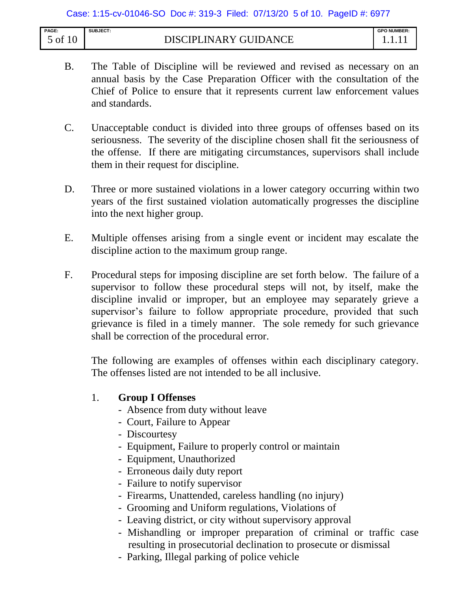| PAGE:                            | <b>SUBJECT:</b><br>.                   | <b>GPO NUMBER:</b> |
|----------------------------------|----------------------------------------|--------------------|
| $\overline{0}$<br>of<br><b>.</b> | NPI<br>N<br>. A R Y<br>÷Ι<br>.N6<br>ıΔ |                    |

- B. The Table of Discipline will be reviewed and revised as necessary on an annual basis by the Case Preparation Officer with the consultation of the Chief of Police to ensure that it represents current law enforcement values and standards.
- C. Unacceptable conduct is divided into three groups of offenses based on its seriousness. The severity of the discipline chosen shall fit the seriousness of the offense. If there are mitigating circumstances, supervisors shall include them in their request for discipline.
- D. Three or more sustained violations in a lower category occurring within two years of the first sustained violation automatically progresses the discipline into the next higher group.
- E. Multiple offenses arising from a single event or incident may escalate the discipline action to the maximum group range.
- F. Procedural steps for imposing discipline are set forth below. The failure of a supervisor to follow these procedural steps will not, by itself, make the discipline invalid or improper, but an employee may separately grieve a supervisor's failure to follow appropriate procedure, provided that such grievance is filed in a timely manner. The sole remedy for such grievance shall be correction of the procedural error.

The following are examples of offenses within each disciplinary category. The offenses listed are not intended to be all inclusive.

## 1. **Group I Offenses**

- Absence from duty without leave
- Court, Failure to Appear
- Discourtesy
- Equipment, Failure to properly control or maintain
- Equipment, Unauthorized
- Erroneous daily duty report
- Failure to notify supervisor
- Firearms, Unattended, careless handling (no injury)
- Grooming and Uniform regulations, Violations of
- Leaving district, or city without supervisory approval
- Mishandling or improper preparation of criminal or traffic case resulting in prosecutorial declination to prosecute or dismissal
- Parking, Illegal parking of police vehicle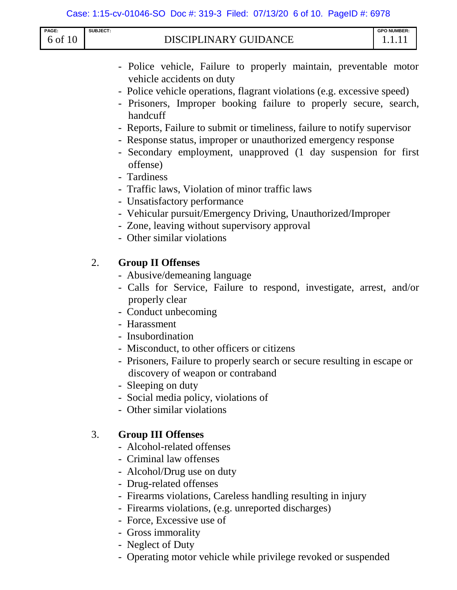| PAGE:<br>6 of 10 | SUBJECT: | <b>DISCIPLINARY GUIDANCE</b>                                                                                                                                                                                                                                                                                                                                                                                                                                                                                                                                                                                                                                                                                                           | <b>GPO NUMBER:</b><br>1.1.11 |
|------------------|----------|----------------------------------------------------------------------------------------------------------------------------------------------------------------------------------------------------------------------------------------------------------------------------------------------------------------------------------------------------------------------------------------------------------------------------------------------------------------------------------------------------------------------------------------------------------------------------------------------------------------------------------------------------------------------------------------------------------------------------------------|------------------------------|
|                  |          | - Police vehicle, Failure to properly maintain, preventable motor<br>vehicle accidents on duty<br>- Police vehicle operations, flagrant violations (e.g. excessive speed)<br>- Prisoners, Improper booking failure to properly secure, search,<br>handcuff<br>- Reports, Failure to submit or timeliness, failure to notify supervisor<br>- Response status, improper or unauthorized emergency response<br>- Secondary employment, unapproved (1 day suspension for first<br>offense)<br>- Tardiness<br>- Traffic laws, Violation of minor traffic laws<br>- Unsatisfactory performance<br>- Vehicular pursuit/Emergency Driving, Unauthorized/Improper<br>- Zone, leaving without supervisory approval<br>- Other similar violations |                              |
|                  | 2.       | <b>Group II Offenses</b><br>- Abusive/demeaning language<br>- Calls for Service, Failure to respond, investigate, arrest, and/or<br>properly clear<br>- Conduct unbecoming<br>- Harassment<br>- Insubordination<br>- Misconduct, to other officers or citizens<br>- Prisoners, Failure to properly search or secure resulting in escape or<br>discovery of weapon or contraband<br>- Sleeping on duty<br>- Social media policy, violations of<br>- Other similar violations                                                                                                                                                                                                                                                            |                              |
|                  | 3.       | <b>Group III Offenses</b><br>- Alcohol-related offenses<br>- Criminal law offenses<br>- Alcohol/Drug use on duty<br>- Drug-related offenses<br>- Firearms violations, Careless handling resulting in injury                                                                                                                                                                                                                                                                                                                                                                                                                                                                                                                            |                              |

- Firearms violations, (e.g. unreported discharges)
- Force, Excessive use of
- Gross immorality
- Neglect of Duty
- Operating motor vehicle while privilege revoked or suspended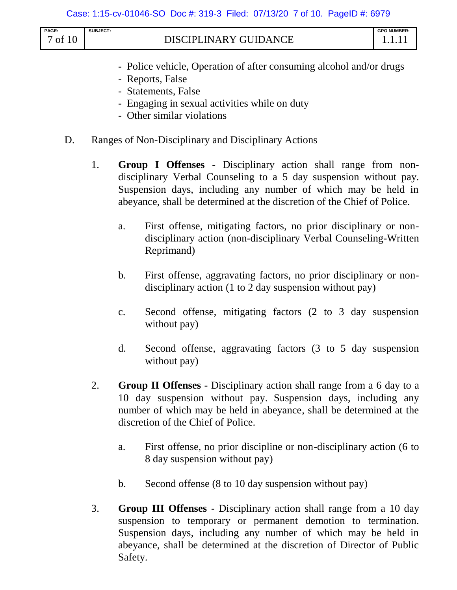| PAGE:<br>7 of 10 | <b>SUBJECT:</b> | DISCIPLINARY GUIDANCE                                               | <b>GPO NUMBER:</b><br>1.1.11 |
|------------------|-----------------|---------------------------------------------------------------------|------------------------------|
|                  |                 | - Police vehicle, Operation of after consuming alcohol and/or drugs |                              |

- Reports, False
- Statements, False
- Engaging in sexual activities while on duty
- Other similar violations
- D. Ranges of Non-Disciplinary and Disciplinary Actions
	- 1. **Group I Offenses** Disciplinary action shall range from nondisciplinary Verbal Counseling to a 5 day suspension without pay. Suspension days, including any number of which may be held in abeyance, shall be determined at the discretion of the Chief of Police.
		- a. First offense, mitigating factors, no prior disciplinary or nondisciplinary action (non-disciplinary Verbal Counseling-Written Reprimand)
		- b. First offense, aggravating factors, no prior disciplinary or nondisciplinary action (1 to 2 day suspension without pay)
		- c. Second offense, mitigating factors (2 to 3 day suspension without pay)
		- d. Second offense, aggravating factors (3 to 5 day suspension without pay)
	- 2. **Group II Offenses** Disciplinary action shall range from a 6 day to a 10 day suspension without pay. Suspension days, including any number of which may be held in abeyance, shall be determined at the discretion of the Chief of Police.
		- a. First offense, no prior discipline or non-disciplinary action (6 to 8 day suspension without pay)
		- b. Second offense (8 to 10 day suspension without pay)
	- 3. **Group III Offenses** Disciplinary action shall range from a 10 day suspension to temporary or permanent demotion to termination. Suspension days, including any number of which may be held in abeyance, shall be determined at the discretion of Director of Public Safety.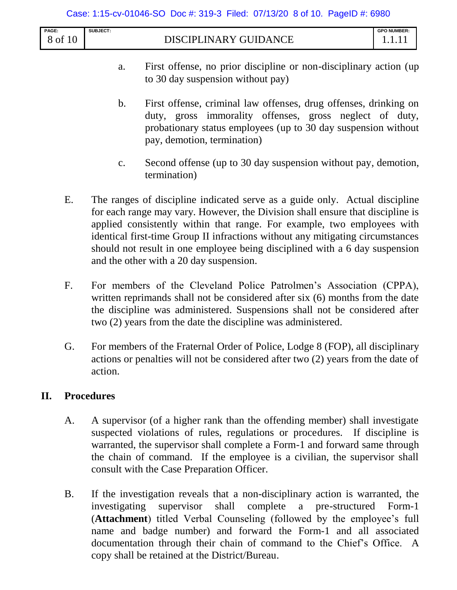#### Case: 1:15-cv-01046-SO Doc #: 319-3 Filed: 07/13/20 8 of 10. PageID #: 6980

| PAGE:     | <b>SUBJECT:</b>                                    | <b>GPO NUMBER:</b> |
|-----------|----------------------------------------------------|--------------------|
| of<br>. U | GUIDA.<br>ANCF<br><b>INARY G</b><br><b>DISCIPI</b> |                    |

- a. First offense, no prior discipline or non-disciplinary action (up to 30 day suspension without pay)
- b. First offense, criminal law offenses, drug offenses, drinking on duty, gross immorality offenses, gross neglect of duty, probationary status employees (up to 30 day suspension without pay, demotion, termination)
- c. Second offense (up to 30 day suspension without pay, demotion, termination)
- E. The ranges of discipline indicated serve as a guide only. Actual discipline for each range may vary. However, the Division shall ensure that discipline is applied consistently within that range. For example, two employees with identical first-time Group II infractions without any mitigating circumstances should not result in one employee being disciplined with a 6 day suspension and the other with a 20 day suspension.
- F. For members of the Cleveland Police Patrolmen's Association (CPPA), written reprimands shall not be considered after six (6) months from the date the discipline was administered. Suspensions shall not be considered after two (2) years from the date the discipline was administered.
- G. For members of the Fraternal Order of Police, Lodge 8 (FOP), all disciplinary actions or penalties will not be considered after two (2) years from the date of action.

### **II. Procedures**

- A. A supervisor (of a higher rank than the offending member) shall investigate suspected violations of rules, regulations or procedures. If discipline is warranted, the supervisor shall complete a Form-1 and forward same through the chain of command. If the employee is a civilian, the supervisor shall consult with the Case Preparation Officer.
- B. If the investigation reveals that a non-disciplinary action is warranted, the investigating supervisor shall complete a pre-structured Form-1 (**Attachment**) titled Verbal Counseling (followed by the employee's full name and badge number) and forward the Form-1 and all associated documentation through their chain of command to the Chief's Office. A copy shall be retained at the District/Bureau.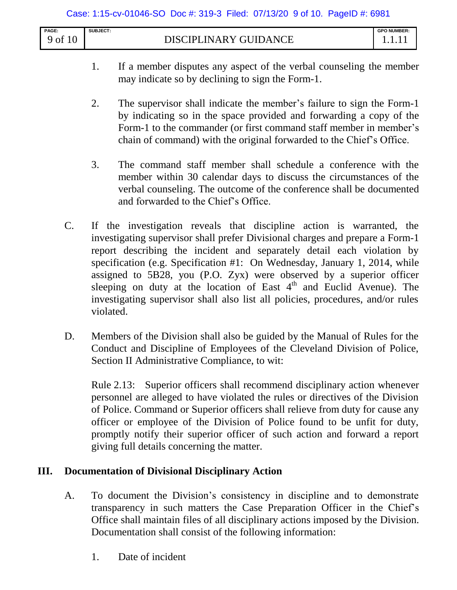| PAGE:    | SUBJECT:                                | <b>GPO NUMBER:</b> |
|----------|-----------------------------------------|--------------------|
| of<br>10 | <b>INARY GUIDANCE</b><br><b>DISCIPL</b> |                    |

- 1. If a member disputes any aspect of the verbal counseling the member may indicate so by declining to sign the Form-1.
- 2. The supervisor shall indicate the member's failure to sign the Form-1 by indicating so in the space provided and forwarding a copy of the Form-1 to the commander (or first command staff member in member's chain of command) with the original forwarded to the Chief's Office.
- 3. The command staff member shall schedule a conference with the member within 30 calendar days to discuss the circumstances of the verbal counseling. The outcome of the conference shall be documented and forwarded to the Chief's Office.
- C. If the investigation reveals that discipline action is warranted, the investigating supervisor shall prefer Divisional charges and prepare a Form-1 report describing the incident and separately detail each violation by specification (e.g. Specification #1: On Wednesday, January 1, 2014, while assigned to 5B28, you (P.O. Zyx) were observed by a superior officer sleeping on duty at the location of East  $4<sup>th</sup>$  and Euclid Avenue). The investigating supervisor shall also list all policies, procedures, and/or rules violated.
- D. Members of the Division shall also be guided by the Manual of Rules for the Conduct and Discipline of Employees of the Cleveland Division of Police, Section II Administrative Compliance, to wit:

Rule 2.13: Superior officers shall recommend disciplinary action whenever personnel are alleged to have violated the rules or directives of the Division of Police. Command or Superior officers shall relieve from duty for cause any officer or employee of the Division of Police found to be unfit for duty, promptly notify their superior officer of such action and forward a report giving full details concerning the matter.

## **III. Documentation of Divisional Disciplinary Action**

- A. To document the Division's consistency in discipline and to demonstrate transparency in such matters the Case Preparation Officer in the Chief's Office shall maintain files of all disciplinary actions imposed by the Division. Documentation shall consist of the following information:
	- 1. Date of incident